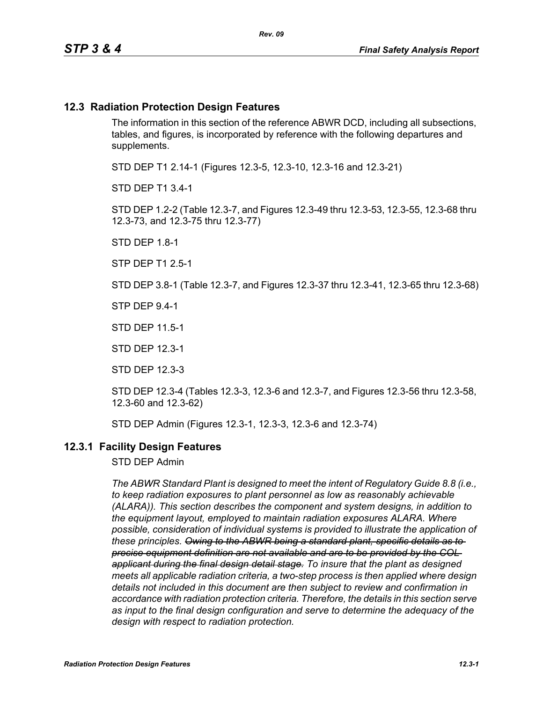#### **12.3 Radiation Protection Design Features**

The information in this section of the reference ABWR DCD, including all subsections, tables, and figures, is incorporated by reference with the following departures and supplements.

STD DEP T1 2.14-1 (Figures 12.3-5, 12.3-10, 12.3-16 and 12.3-21)

STD DEP T1 3.4-1

STD DEP 1.2-2 (Table 12.3-7, and Figures 12.3-49 thru 12.3-53, 12.3-55, 12.3-68 thru 12.3-73, and 12.3-75 thru 12.3-77)

STD DEP 1.8-1

STP DEP T1 2.5-1

STD DEP 3.8-1 (Table 12.3-7, and Figures 12.3-37 thru 12.3-41, 12.3-65 thru 12.3-68)

STP DEP 9.4-1

STD DEP 11.5-1

STD DEP 12.3-1

STD DEP 12.3-3

STD DEP 12.3-4 (Tables 12.3-3, 12.3-6 and 12.3-7, and Figures 12.3-56 thru 12.3-58, 12.3-60 and 12.3-62)

STD DEP Admin (Figures 12.3-1, 12.3-3, 12.3-6 and 12.3-74)

#### **12.3.1 Facility Design Features**

STD DEP Admin

*The ABWR Standard Plant is designed to meet the intent of Regulatory Guide 8.8 (i.e., to keep radiation exposures to plant personnel as low as reasonably achievable (ALARA)). This section describes the component and system designs, in addition to the equipment layout, employed to maintain radiation exposures ALARA. Where possible, consideration of individual systems is provided to illustrate the application of these principles. Owing to the ABWR being a standard plant, specific details as to precise equipment definition are not available and are to be provided by the COL applicant during the final design detail stage. To insure that the plant as designed meets all applicable radiation criteria, a two-step process is then applied where design details not included in this document are then subject to review and confirmation in accordance with radiation protection criteria. Therefore, the details in this section serve as input to the final design configuration and serve to determine the adequacy of the design with respect to radiation protection.*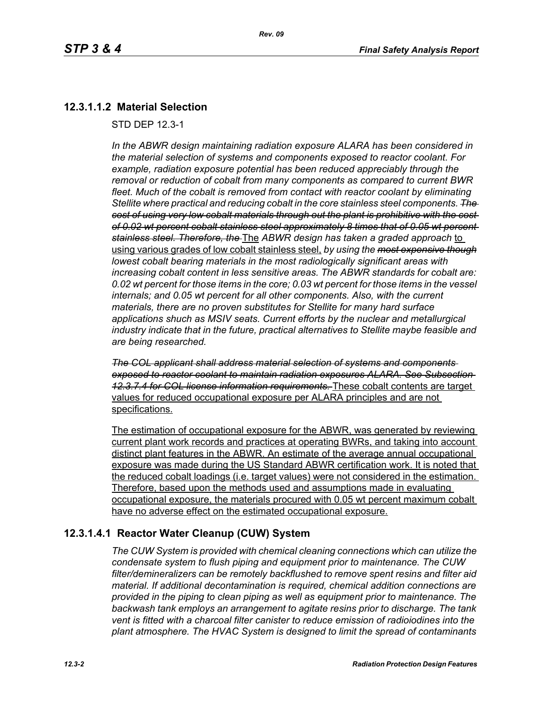## **12.3.1.1.2 Material Selection**

STD DEP 12.3-1

*In the ABWR design maintaining radiation exposure ALARA has been considered in the material selection of systems and components exposed to reactor coolant. For example, radiation exposure potential has been reduced appreciably through the removal or reduction of cobalt from many components as compared to current BWR fleet. Much of the cobalt is removed from contact with reactor coolant by eliminating Stellite where practical and reducing cobalt in the core stainless steel components. The cost of using very low cobalt materials through out the plant is prohibitive with the cost of 0.02 wt percent cobalt stainless steel approximately 8 times that of 0.05 wt percent stainless steel. Therefore, the* The *ABWR design has taken a graded approach* to using various grades of low cobalt stainless steel, *by using the most expensive though lowest cobalt bearing materials in the most radiologically significant areas with increasing cobalt content in less sensitive areas. The ABWR standards for cobalt are: 0.02 wt percent for those items in the core; 0.03 wt percent for those items in the vessel internals; and 0.05 wt percent for all other components. Also, with the current materials, there are no proven substitutes for Stellite for many hard surface applications shuch as MSIV seats. Current efforts by the nuclear and metallurgical industry indicate that in the future, practical alternatives to Stellite maybe feasible and are being researched.*

*The COL applicant shall address material selection of systems and components exposed to reactor coolant to maintain radiation exposures ALARA. See Subsection 12.3.7.4 for COL license information requirements.* These cobalt contents are target values for reduced occupational exposure per ALARA principles and are not specifications.

The estimation of occupational exposure for the ABWR, was generated by reviewing current plant work records and practices at operating BWRs, and taking into account distinct plant features in the ABWR. An estimate of the average annual occupational exposure was made during the US Standard ABWR certification work. It is noted that the reduced cobalt loadings (i.e. target values) were not considered in the estimation. Therefore, based upon the methods used and assumptions made in evaluating occupational exposure, the materials procured with 0.05 wt percent maximum cobalt have no adverse effect on the estimated occupational exposure.

## **12.3.1.4.1 Reactor Water Cleanup (CUW) System**

*The CUW System is provided with chemical cleaning connections which can utilize the condensate system to flush piping and equipment prior to maintenance. The CUW filter/demineralizers can be remotely backflushed to remove spent resins and filter aid material. If additional decontamination is required, chemical addition connections are provided in the piping to clean piping as well as equipment prior to maintenance. The backwash tank employs an arrangement to agitate resins prior to discharge. The tank vent is fitted with a charcoal filter canister to reduce emission of radioiodines into the plant atmosphere. The HVAC System is designed to limit the spread of contaminants*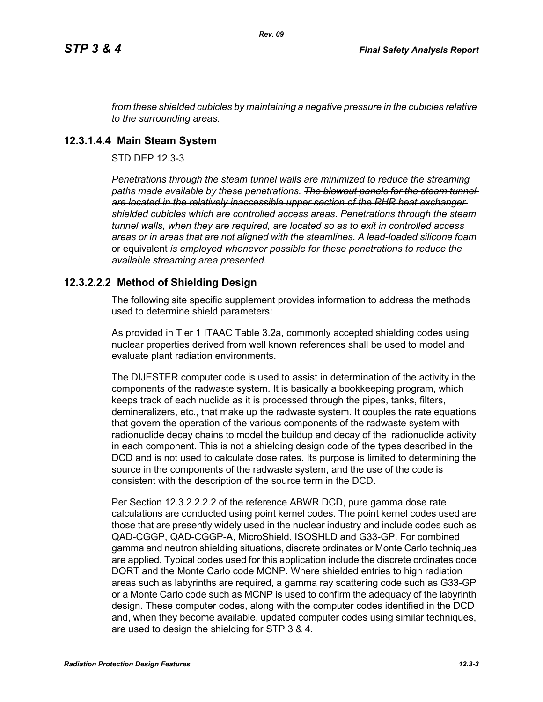*from these shielded cubicles by maintaining a negative pressure in the cubicles relative to the surrounding areas.*

#### **12.3.1.4.4 Main Steam System**

STD DEP 12.3-3

*Penetrations through the steam tunnel walls are minimized to reduce the streaming*  paths made available by these penetrations. The blowout panels for the steam tunnel*are located in the relatively inaccessible upper section of the RHR heat exchanger shielded cubicles which are controlled access areas. Penetrations through the steam tunnel walls, when they are required, are located so as to exit in controlled access areas or in areas that are not aligned with the steamlines. A lead-loaded silicone foam*  or equivalent *is employed whenever possible for these penetrations to reduce the available streaming area presented.*

## **12.3.2.2.2 Method of Shielding Design**

The following site specific supplement provides information to address the methods used to determine shield parameters:

As provided in Tier 1 ITAAC Table 3.2a, commonly accepted shielding codes using nuclear properties derived from well known references shall be used to model and evaluate plant radiation environments.

The DIJESTER computer code is used to assist in determination of the activity in the components of the radwaste system. It is basically a bookkeeping program, which keeps track of each nuclide as it is processed through the pipes, tanks, filters, demineralizers, etc., that make up the radwaste system. It couples the rate equations that govern the operation of the various components of the radwaste system with radionuclide decay chains to model the buildup and decay of the radionuclide activity in each component. This is not a shielding design code of the types described in the DCD and is not used to calculate dose rates. Its purpose is limited to determining the source in the components of the radwaste system, and the use of the code is consistent with the description of the source term in the DCD.

Per Section 12.3.2.2.2.2 of the reference ABWR DCD, pure gamma dose rate calculations are conducted using point kernel codes. The point kernel codes used are those that are presently widely used in the nuclear industry and include codes such as QAD-CGGP, QAD-CGGP-A, MicroShield, ISOSHLD and G33-GP. For combined gamma and neutron shielding situations, discrete ordinates or Monte Carlo techniques are applied. Typical codes used for this application include the discrete ordinates code DORT and the Monte Carlo code MCNP. Where shielded entries to high radiation areas such as labyrinths are required, a gamma ray scattering code such as G33-GP or a Monte Carlo code such as MCNP is used to confirm the adequacy of the labyrinth design. These computer codes, along with the computer codes identified in the DCD and, when they become available, updated computer codes using similar techniques, are used to design the shielding for STP 3 & 4.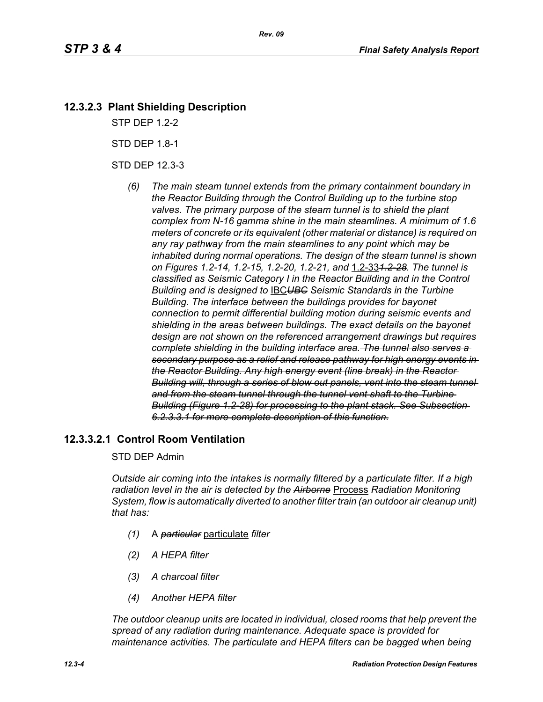# **12.3.2.3 Plant Shielding Description**

STP DEP 1.2-2

STD DEP 1.8-1

STD DEP 12.3-3

*(6) The main steam tunnel extends from the primary containment boundary in the Reactor Building through the Control Building up to the turbine stop valves. The primary purpose of the steam tunnel is to shield the plant complex from N-16 gamma shine in the main steamlines. A minimum of 1.6 meters of concrete or its equivalent (other material or distance) is required on any ray pathway from the main steamlines to any point which may be inhabited during normal operations. The design of the steam tunnel is shown on Figures 1.2-14, 1.2-15, 1.2-20, 1.2-21, and* 1.2-33*1.2-28. The tunnel is classified as Seismic Category I in the Reactor Building and in the Control Building and is designed to* IBC*UBC Seismic Standards in the Turbine Building. The interface between the buildings provides for bayonet connection to permit differential building motion during seismic events and shielding in the areas between buildings. The exact details on the bayonet design are not shown on the referenced arrangement drawings but requires complete shielding in the building interface area. The tunnel also serves a secondary purpose as a relief and release pathway for high energy events in the Reactor Building. Any high energy event (line break) in the Reactor Building will, through a series of blow out panels, vent into the steam tunnel and from the steam tunnel through the tunnel vent shaft to the Turbine Building (Figure 1.2-28) for processing to the plant stack. See Subsection 6.2.3.3.1 for more complete description of this function.*

## **12.3.3.2.1 Control Room Ventilation**

#### STD DEP Admin

*Outside air coming into the intakes is normally filtered by a particulate filter. If a high radiation level in the air is detected by the Airborne* Process *Radiation Monitoring System, flow is automatically diverted to another filter train (an outdoor air cleanup unit) that has:*

- *(1)* A *particular* particulate *filter*
- *(2) A HEPA filter*
- *(3) A charcoal filter*
- *(4) Another HEPA filter*

*The outdoor cleanup units are located in individual, closed rooms that help prevent the spread of any radiation during maintenance. Adequate space is provided for maintenance activities. The particulate and HEPA filters can be bagged when being*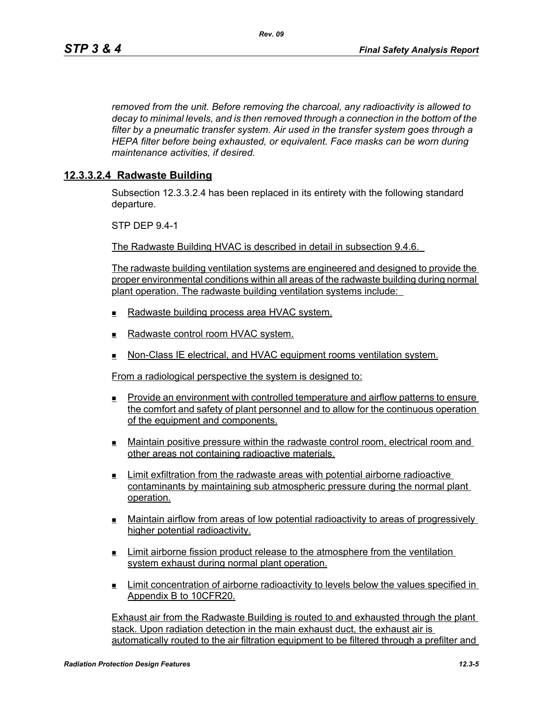*removed from the unit. Before removing the charcoal, any radioactivity is allowed to decay to minimal levels, and is then removed through a connection in the bottom of the filter by a pneumatic transfer system. Air used in the transfer system goes through a HEPA filter before being exhausted, or equivalent. Face masks can be worn during maintenance activities, if desired.*

#### **12.3.3.2.4 Radwaste Building**

Subsection 12.3.3.2.4 has been replaced in its entirety with the following standard departure.

STP DEP 9.4-1

The Radwaste Building HVAC is described in detail in subsection 9.4.6.

The radwaste building ventilation systems are engineered and designed to provide the proper environmental conditions within all areas of the radwaste building during normal plant operation. The radwaste building ventilation systems include:

- Radwaste building process area HVAC system.
- $\blacksquare$  Radwaste control room HVAC system.
- **Non-Class IE electrical, and HVAC equipment rooms ventilation system.**

From a radiological perspective the system is designed to:

- Provide an environment with controlled temperature and airflow patterns to ensure the comfort and safety of plant personnel and to allow for the continuous operation of the equipment and components.
- Maintain positive pressure within the radwaste control room, electrical room and other areas not containing radioactive materials.
- Limit exfiltration from the radwaste areas with potential airborne radioactive contaminants by maintaining sub atmospheric pressure during the normal plant operation.
- Maintain airflow from areas of low potential radioactivity to areas of progressively higher potential radioactivity.
- **Limit airborne fission product release to the atmosphere from the ventilation** system exhaust during normal plant operation.
- Limit concentration of airborne radioactivity to levels below the values specified in Appendix B to 10CFR20.

Exhaust air from the Radwaste Building is routed to and exhausted through the plant stack. Upon radiation detection in the main exhaust duct, the exhaust air is automatically routed to the air filtration equipment to be filtered through a prefilter and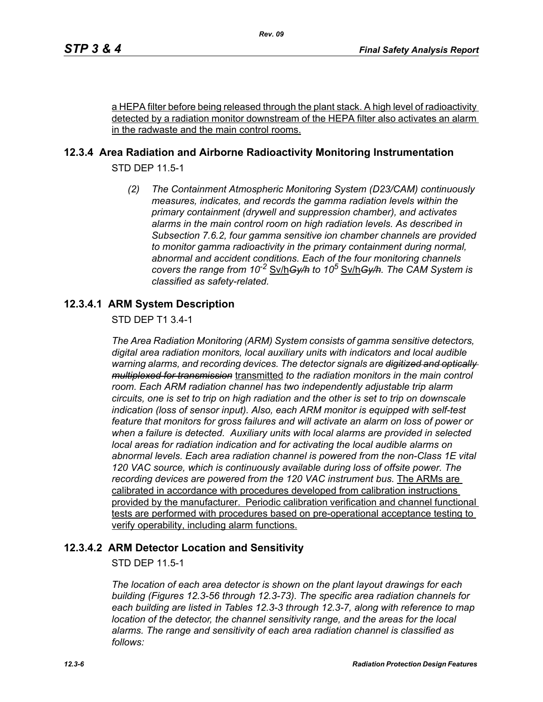a HEPA filter before being released through the plant stack. A high level of radioactivity detected by a radiation monitor downstream of the HEPA filter also activates an alarm in the radwaste and the main control rooms.

## **12.3.4 Area Radiation and Airborne Radioactivity Monitoring Instrumentation**

STD DEP 11.5-1

*(2) The Containment Atmospheric Monitoring System (D23/CAM) continuously measures, indicates, and records the gamma radiation levels within the primary containment (drywell and suppression chamber), and activates alarms in the main control room on high radiation levels. As described in Subsection 7.6.2, four gamma sensitive ion chamber channels are provided to monitor gamma radioactivity in the primary containment during normal, abnormal and accident conditions. Each of the four monitoring channels covers the range from 10-2* Sv/h*Gy/h to 10<sup>5</sup>* Sv/h*Gy/h. The CAM System is classified as safety-related.*

## **12.3.4.1 ARM System Description**

STD DEP T1 3.4-1

*The Area Radiation Monitoring (ARM) System consists of gamma sensitive detectors, digital area radiation monitors, local auxiliary units with indicators and local audible warning alarms, and recording devices. The detector signals are digitized and optically multiplexed for transmission* transmitted *to the radiation monitors in the main control room. Each ARM radiation channel has two independently adjustable trip alarm circuits, one is set to trip on high radiation and the other is set to trip on downscale indication (loss of sensor input). Also, each ARM monitor is equipped with self-test feature that monitors for gross failures and will activate an alarm on loss of power or when a failure is detected. Auxiliary units with local alarms are provided in selected local areas for radiation indication and for activating the local audible alarms on abnormal levels. Each area radiation channel is powered from the non-Class 1E vital 120 VAC source, which is continuously available during loss of offsite power. The recording devices are powered from the 120 VAC instrument bus.* The ARMs are calibrated in accordance with procedures developed from calibration instructions provided by the manufacturer. Periodic calibration verification and channel functional tests are performed with procedures based on pre-operational acceptance testing to verify operability, including alarm functions.

## **12.3.4.2 ARM Detector Location and Sensitivity**

STD DEP 11.5-1

*The location of each area detector is shown on the plant layout drawings for each building (Figures 12.3-56 through 12.3-73). The specific area radiation channels for each building are listed in Tables 12.3-3 through 12.3-7, along with reference to map location of the detector, the channel sensitivity range, and the areas for the local alarms. The range and sensitivity of each area radiation channel is classified as follows:*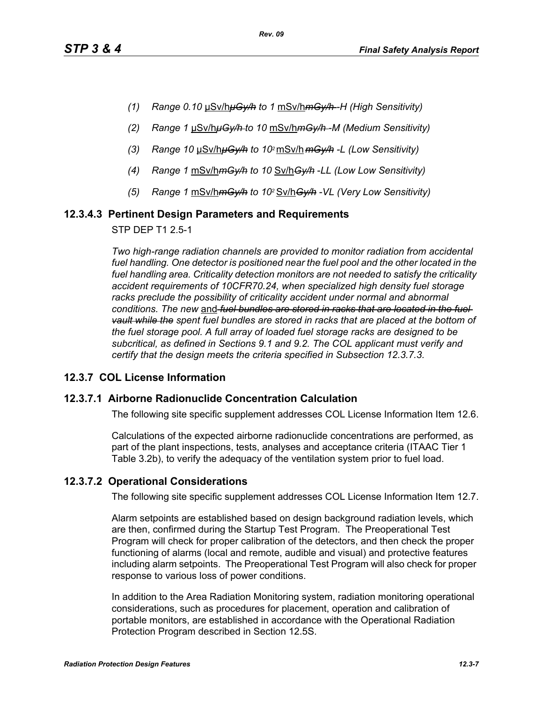- *(1) Range 0.10* μSv/h*μGy/h to 1* mSv/h*mGy/h -H (High Sensitivity)*
- *(2) Range 1* μSv/h*μGy/h to 10* mSv/h*mGy/h -M (Medium Sensitivity)*
- *(3) Range 10* μSv/h*μGy/h to 102* mSv/h *mGy/h -L (Low Sensitivity)*
- *(4) Range 1* mSv/h*mGy/h to 10* Sv/h*Gy/h* -*LL (Low Low Sensitivity)*
- *(5) Range 1* mSv/h*mGy/h to 102* Sv/h*Gy/h -VL (Very Low Sensitivity)*

## **12.3.4.3 Pertinent Design Parameters and Requirements**

STP DEP T1 2.5-1

*Two high-range radiation channels are provided to monitor radiation from accidental*  fuel handling. One detector is positioned near the fuel pool and the other located in the *fuel handling area. Criticality detection monitors are not needed to satisfy the criticality accident requirements of 10CFR70.24, when specialized high density fuel storage*  racks preclude the possibility of criticality accident under normal and abnormal *conditions. The new* and *fuel bundles are stored in racks that are located in the fuel vault while the spent fuel bundles are stored in racks that are placed at the bottom of the fuel storage pool. A full array of loaded fuel storage racks are designed to be subcritical, as defined in Sections 9.1 and 9.2. The COL applicant must verify and certify that the design meets the criteria specified in Subsection 12.3.7.3.*

## **12.3.7 COL License Information**

#### **12.3.7.1 Airborne Radionuclide Concentration Calculation**

The following site specific supplement addresses COL License Information Item 12.6.

Calculations of the expected airborne radionuclide concentrations are performed, as part of the plant inspections, tests, analyses and acceptance criteria (ITAAC Tier 1 Table 3.2b), to verify the adequacy of the ventilation system prior to fuel load.

## **12.3.7.2 Operational Considerations**

The following site specific supplement addresses COL License Information Item 12.7.

Alarm setpoints are established based on design background radiation levels, which are then, confirmed during the Startup Test Program. The Preoperational Test Program will check for proper calibration of the detectors, and then check the proper functioning of alarms (local and remote, audible and visual) and protective features including alarm setpoints. The Preoperational Test Program will also check for proper response to various loss of power conditions.

In addition to the Area Radiation Monitoring system, radiation monitoring operational considerations, such as procedures for placement, operation and calibration of portable monitors, are established in accordance with the Operational Radiation Protection Program described in Section 12.5S.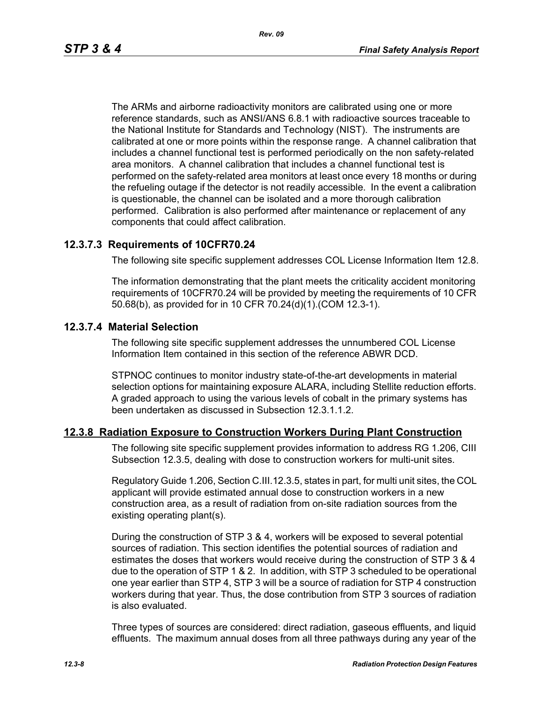The ARMs and airborne radioactivity monitors are calibrated using one or more reference standards, such as ANSI/ANS 6.8.1 with radioactive sources traceable to the National Institute for Standards and Technology (NIST). The instruments are calibrated at one or more points within the response range. A channel calibration that includes a channel functional test is performed periodically on the non safety-related area monitors. A channel calibration that includes a channel functional test is performed on the safety-related area monitors at least once every 18 months or during the refueling outage if the detector is not readily accessible. In the event a calibration is questionable, the channel can be isolated and a more thorough calibration performed. Calibration is also performed after maintenance or replacement of any components that could affect calibration.

#### **12.3.7.3 Requirements of 10CFR70.24**

The following site specific supplement addresses COL License Information Item 12.8.

The information demonstrating that the plant meets the criticality accident monitoring requirements of 10CFR70.24 will be provided by meeting the requirements of 10 CFR 50.68(b), as provided for in 10 CFR 70.24(d)(1).(COM 12.3-1).

#### **12.3.7.4 Material Selection**

The following site specific supplement addresses the unnumbered COL License Information Item contained in this section of the reference ABWR DCD.

STPNOC continues to monitor industry state-of-the-art developments in material selection options for maintaining exposure ALARA, including Stellite reduction efforts. A graded approach to using the various levels of cobalt in the primary systems has been undertaken as discussed in Subsection 12.3.1.1.2.

#### **12.3.8 Radiation Exposure to Construction Workers During Plant Construction**

The following site specific supplement provides information to address RG 1.206, CIII Subsection 12.3.5, dealing with dose to construction workers for multi-unit sites.

Regulatory Guide 1.206, Section C.III.12.3.5, states in part, for multi unit sites, the COL applicant will provide estimated annual dose to construction workers in a new construction area, as a result of radiation from on-site radiation sources from the existing operating plant(s).

During the construction of STP 3 & 4, workers will be exposed to several potential sources of radiation. This section identifies the potential sources of radiation and estimates the doses that workers would receive during the construction of STP 3 & 4 due to the operation of STP 1 & 2. In addition, with STP 3 scheduled to be operational one year earlier than STP 4, STP 3 will be a source of radiation for STP 4 construction workers during that year. Thus, the dose contribution from STP 3 sources of radiation is also evaluated.

Three types of sources are considered: direct radiation, gaseous effluents, and liquid effluents. The maximum annual doses from all three pathways during any year of the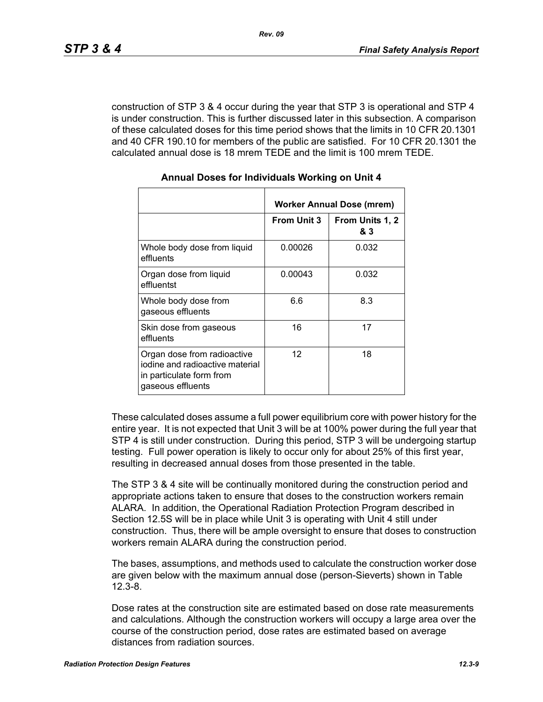construction of STP 3 & 4 occur during the year that STP 3 is operational and STP 4 is under construction. This is further discussed later in this subsection. A comparison of these calculated doses for this time period shows that the limits in 10 CFR 20.1301 and 40 CFR 190.10 for members of the public are satisfied. For 10 CFR 20.1301 the calculated annual dose is 18 mrem TEDE and the limit is 100 mrem TEDE.

|                                                                                                                 | Worker Annual Dose (mrem) |                        |  |  |
|-----------------------------------------------------------------------------------------------------------------|---------------------------|------------------------|--|--|
|                                                                                                                 | <b>From Unit 3</b>        | From Units 1, 2<br>& 3 |  |  |
| Whole body dose from liquid<br>effluents                                                                        | 0.00026                   | 0.032                  |  |  |
| Organ dose from liquid<br>effluentst                                                                            | 0.00043                   | 0.032                  |  |  |
| Whole body dose from<br>gaseous effluents                                                                       | 6.6                       | 8.3                    |  |  |
| Skin dose from gaseous<br>effluents                                                                             | 16                        | 17                     |  |  |
| Organ dose from radioactive<br>iodine and radioactive material<br>in particulate form from<br>gaseous effluents | 12                        | 18                     |  |  |

#### **Annual Doses for Individuals Working on Unit 4**

These calculated doses assume a full power equilibrium core with power history for the entire year. It is not expected that Unit 3 will be at 100% power during the full year that STP 4 is still under construction. During this period, STP 3 will be undergoing startup testing. Full power operation is likely to occur only for about 25% of this first year, resulting in decreased annual doses from those presented in the table.

The STP 3 & 4 site will be continually monitored during the construction period and appropriate actions taken to ensure that doses to the construction workers remain ALARA. In addition, the Operational Radiation Protection Program described in Section 12.5S will be in place while Unit 3 is operating with Unit 4 still under construction. Thus, there will be ample oversight to ensure that doses to construction workers remain ALARA during the construction period.

The bases, assumptions, and methods used to calculate the construction worker dose are given below with the maximum annual dose (person-Sieverts) shown in Table 12.3-8.

Dose rates at the construction site are estimated based on dose rate measurements and calculations. Although the construction workers will occupy a large area over the course of the construction period, dose rates are estimated based on average distances from radiation sources.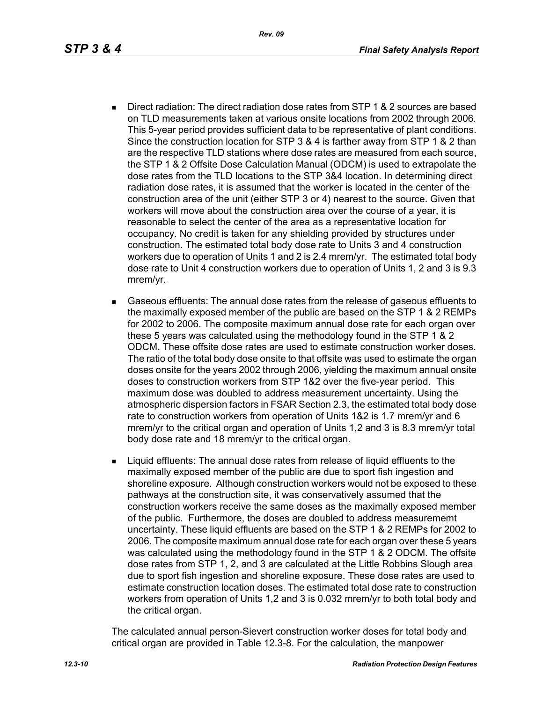- Direct radiation: The direct radiation dose rates from STP 1 & 2 sources are based on TLD measurements taken at various onsite locations from 2002 through 2006. This 5-year period provides sufficient data to be representative of plant conditions. Since the construction location for STP 3 & 4 is farther away from STP 1 & 2 than are the respective TLD stations where dose rates are measured from each source, the STP 1 & 2 Offsite Dose Calculation Manual (ODCM) is used to extrapolate the dose rates from the TLD locations to the STP 3&4 location. In determining direct radiation dose rates, it is assumed that the worker is located in the center of the construction area of the unit (either STP 3 or 4) nearest to the source. Given that workers will move about the construction area over the course of a year, it is reasonable to select the center of the area as a representative location for occupancy. No credit is taken for any shielding provided by structures under construction. The estimated total body dose rate to Units 3 and 4 construction workers due to operation of Units 1 and 2 is 2.4 mrem/yr. The estimated total body dose rate to Unit 4 construction workers due to operation of Units 1, 2 and 3 is 9.3 mrem/yr.
- Gaseous effluents: The annual dose rates from the release of gaseous effluents to the maximally exposed member of the public are based on the STP 1 & 2 REMPs for 2002 to 2006. The composite maximum annual dose rate for each organ over these 5 years was calculated using the methodology found in the STP 1 & 2 ODCM. These offsite dose rates are used to estimate construction worker doses. The ratio of the total body dose onsite to that offsite was used to estimate the organ doses onsite for the years 2002 through 2006, yielding the maximum annual onsite doses to construction workers from STP 1&2 over the five-year period. This maximum dose was doubled to address measurement uncertainty. Using the atmospheric dispersion factors in FSAR Section 2.3, the estimated total body dose rate to construction workers from operation of Units 1&2 is 1.7 mrem/yr and 6 mrem/yr to the critical organ and operation of Units 1,2 and 3 is 8.3 mrem/yr total body dose rate and 18 mrem/yr to the critical organ.
- **EXECT** Liquid effluents: The annual dose rates from release of liquid effluents to the maximally exposed member of the public are due to sport fish ingestion and shoreline exposure. Although construction workers would not be exposed to these pathways at the construction site, it was conservatively assumed that the construction workers receive the same doses as the maximally exposed member of the public. Furthermore, the doses are doubled to address measurememt uncertainty. These liquid effluents are based on the STP 1 & 2 REMPs for 2002 to 2006. The composite maximum annual dose rate for each organ over these 5 years was calculated using the methodology found in the STP 1 & 2 ODCM. The offsite dose rates from STP 1, 2, and 3 are calculated at the Little Robbins Slough area due to sport fish ingestion and shoreline exposure. These dose rates are used to estimate construction location doses. The estimated total dose rate to construction workers from operation of Units 1,2 and 3 is 0.032 mrem/yr to both total body and the critical organ.

The calculated annual person-Sievert construction worker doses for total body and critical organ are provided in Table 12.3-8. For the calculation, the manpower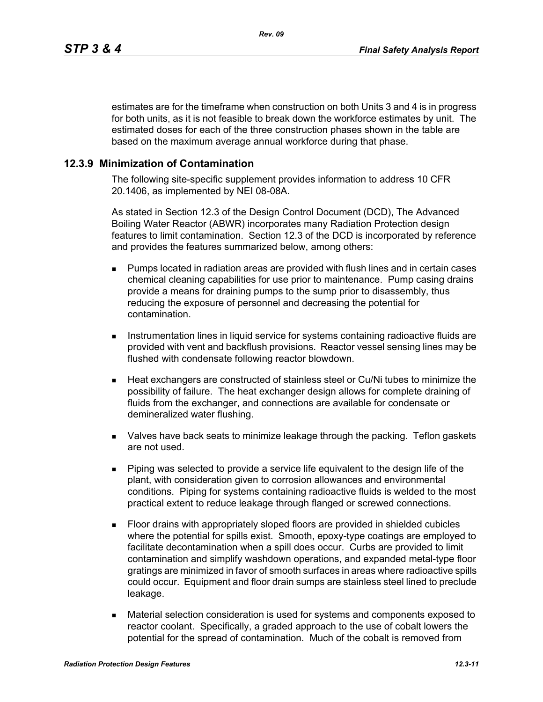estimates are for the timeframe when construction on both Units 3 and 4 is in progress for both units, as it is not feasible to break down the workforce estimates by unit. The estimated doses for each of the three construction phases shown in the table are based on the maximum average annual workforce during that phase.

#### **12.3.9 Minimization of Contamination**

The following site-specific supplement provides information to address 10 CFR 20.1406, as implemented by NEI 08-08A.

As stated in Section 12.3 of the Design Control Document (DCD), The Advanced Boiling Water Reactor (ABWR) incorporates many Radiation Protection design features to limit contamination. Section 12.3 of the DCD is incorporated by reference and provides the features summarized below, among others:

- **Pumps located in radiation areas are provided with flush lines and in certain cases** chemical cleaning capabilities for use prior to maintenance. Pump casing drains provide a means for draining pumps to the sump prior to disassembly, thus reducing the exposure of personnel and decreasing the potential for contamination.
- **Instrumentation lines in liquid service for systems containing radioactive fluids are** provided with vent and backflush provisions. Reactor vessel sensing lines may be flushed with condensate following reactor blowdown.
- Heat exchangers are constructed of stainless steel or Cu/Ni tubes to minimize the possibility of failure. The heat exchanger design allows for complete draining of fluids from the exchanger, and connections are available for condensate or demineralized water flushing.
- Valves have back seats to minimize leakage through the packing. Teflon gaskets are not used.
- Piping was selected to provide a service life equivalent to the design life of the plant, with consideration given to corrosion allowances and environmental conditions. Piping for systems containing radioactive fluids is welded to the most practical extent to reduce leakage through flanged or screwed connections.
- Floor drains with appropriately sloped floors are provided in shielded cubicles where the potential for spills exist. Smooth, epoxy-type coatings are employed to facilitate decontamination when a spill does occur. Curbs are provided to limit contamination and simplify washdown operations, and expanded metal-type floor gratings are minimized in favor of smooth surfaces in areas where radioactive spills could occur. Equipment and floor drain sumps are stainless steel lined to preclude leakage.
- Material selection consideration is used for systems and components exposed to reactor coolant. Specifically, a graded approach to the use of cobalt lowers the potential for the spread of contamination. Much of the cobalt is removed from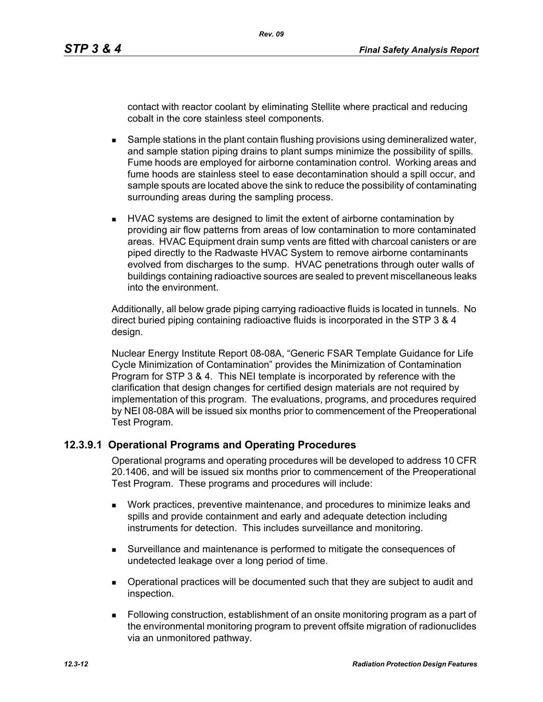contact with reactor coolant by eliminating Stellite where practical and reducing cobalt in the core stainless steel components.

- **Sample stations in the plant contain flushing provisions using demineralized water,** and sample station piping drains to plant sumps minimize the possibility of spills. Fume hoods are employed for airborne contamination control. Working areas and fume hoods are stainless steel to ease decontamination should a spill occur, and sample spouts are located above the sink to reduce the possibility of contaminating surrounding areas during the sampling process.
- **HVAC systems are designed to limit the extent of airborne contamination by** providing air flow patterns from areas of low contamination to more contaminated areas. HVAC Equipment drain sump vents are fitted with charcoal canisters or are piped directly to the Radwaste HVAC System to remove airborne contaminants evolved from discharges to the sump. HVAC penetrations through outer walls of buildings containing radioactive sources are sealed to prevent miscellaneous leaks into the environment.

Additionally, all below grade piping carrying radioactive fluids is located in tunnels. No direct buried piping containing radioactive fluids is incorporated in the STP 3 & 4 design.

Nuclear Energy Institute Report 08-08A, "Generic FSAR Template Guidance for Life Cycle Minimization of Contamination" provides the Minimization of Contamination Program for STP 3 & 4. This NEI template is incorporated by reference with the clarification that design changes for certified design materials are not required by implementation of this program. The evaluations, programs, and procedures required by NEI 08-08A will be issued six months prior to commencement of the Preoperational Test Program.

## **12.3.9.1 Operational Programs and Operating Procedures**

Operational programs and operating procedures will be developed to address 10 CFR 20.1406, and will be issued six months prior to commencement of the Preoperational Test Program. These programs and procedures will include:

- Work practices, preventive maintenance, and procedures to minimize leaks and spills and provide containment and early and adequate detection including instruments for detection. This includes surveillance and monitoring.
- Surveillance and maintenance is performed to mitigate the consequences of undetected leakage over a long period of time.
- Operational practices will be documented such that they are subject to audit and inspection.
- Following construction, establishment of an onsite monitoring program as a part of the environmental monitoring program to prevent offsite migration of radionuclides via an unmonitored pathway.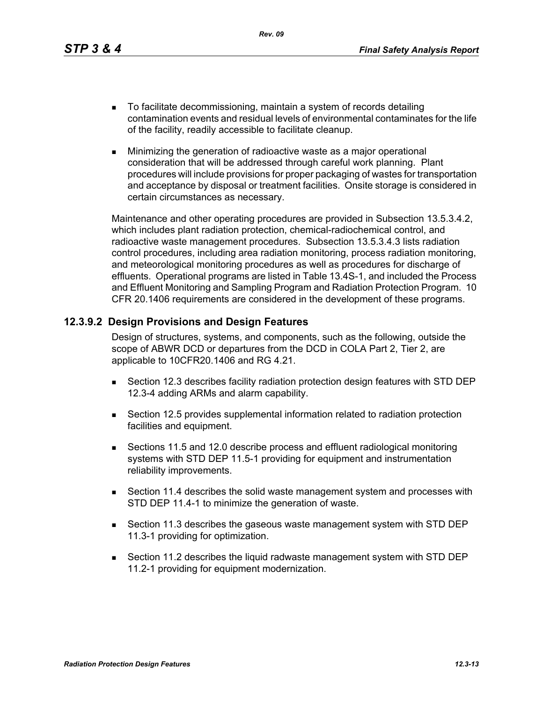*Rev. 09*

- To facilitate decommissioning, maintain a system of records detailing contamination events and residual levels of environmental contaminates for the life of the facility, readily accessible to facilitate cleanup.
- **Minimizing the generation of radioactive waste as a major operational** consideration that will be addressed through careful work planning. Plant procedures will include provisions for proper packaging of wastes for transportation and acceptance by disposal or treatment facilities. Onsite storage is considered in certain circumstances as necessary.

Maintenance and other operating procedures are provided in Subsection 13.5.3.4.2, which includes plant radiation protection, chemical-radiochemical control, and radioactive waste management procedures. Subsection 13.5.3.4.3 lists radiation control procedures, including area radiation monitoring, process radiation monitoring, and meteorological monitoring procedures as well as procedures for discharge of effluents. Operational programs are listed in Table 13.4S-1, and included the Process and Effluent Monitoring and Sampling Program and Radiation Protection Program. 10 CFR 20.1406 requirements are considered in the development of these programs.

## **12.3.9.2 Design Provisions and Design Features**

Design of structures, systems, and components, such as the following, outside the scope of ABWR DCD or departures from the DCD in COLA Part 2, Tier 2, are applicable to 10CFR20.1406 and RG 4.21.

- Section 12.3 describes facility radiation protection design features with STD DEP 12.3-4 adding ARMs and alarm capability.
- Section 12.5 provides supplemental information related to radiation protection facilities and equipment.
- Sections 11.5 and 12.0 describe process and effluent radiological monitoring systems with STD DEP 11.5-1 providing for equipment and instrumentation reliability improvements.
- Section 11.4 describes the solid waste management system and processes with STD DEP 11.4-1 to minimize the generation of waste.
- Section 11.3 describes the gaseous waste management system with STD DEP 11.3-1 providing for optimization.
- Section 11.2 describes the liquid radwaste management system with STD DEP 11.2-1 providing for equipment modernization.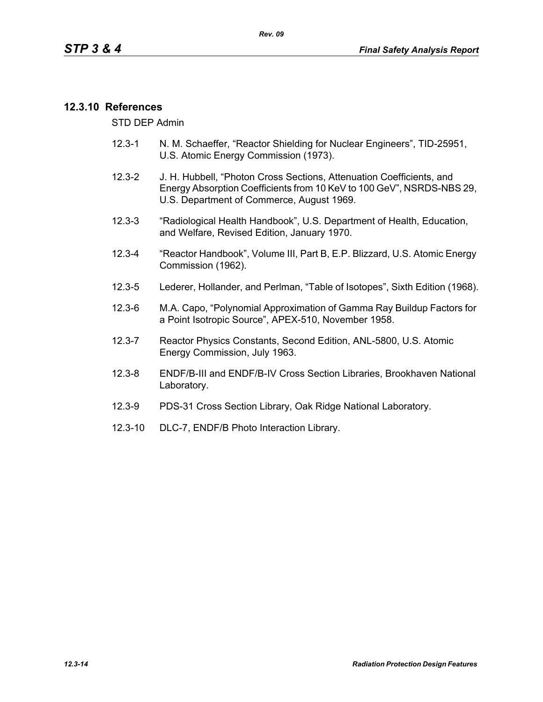## **12.3.10 References**

STD DEP Admin

- 12.3-1 N. M. Schaeffer, "Reactor Shielding for Nuclear Engineers", TID-25951, U.S. Atomic Energy Commission (1973).
- 12.3-2 J. H. Hubbell, "Photon Cross Sections, Attenuation Coefficients, and Energy Absorption Coefficients from 10 KeV to 100 GeV", NSRDS-NBS 29, U.S. Department of Commerce, August 1969.
- 12.3-3 "Radiological Health Handbook", U.S. Department of Health, Education, and Welfare, Revised Edition, January 1970.
- 12.3-4 "Reactor Handbook", Volume III, Part B, E.P. Blizzard, U.S. Atomic Energy Commission (1962).
- 12.3-5 Lederer, Hollander, and Perlman, "Table of Isotopes", Sixth Edition (1968).
- 12.3-6 M.A. Capo, "Polynomial Approximation of Gamma Ray Buildup Factors for a Point Isotropic Source", APEX-510, November 1958.
- 12.3-7 Reactor Physics Constants, Second Edition, ANL-5800, U.S. Atomic Energy Commission, July 1963.
- 12.3-8 ENDF/B-III and ENDF/B-IV Cross Section Libraries, Brookhaven National Laboratory.
- 12.3-9 PDS-31 Cross Section Library, Oak Ridge National Laboratory.
- 12.3-10 DLC-7, ENDF/B Photo Interaction Library.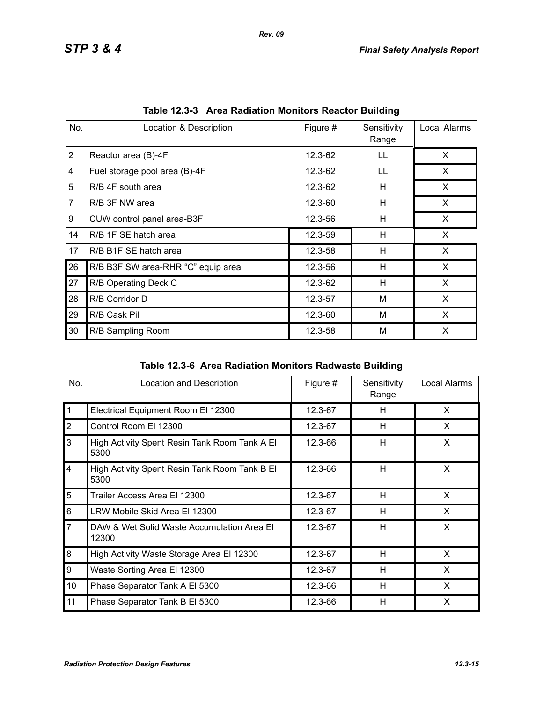| No.            | Location & Description             | Figure # | Sensitivity<br>Range | Local Alarms |
|----------------|------------------------------------|----------|----------------------|--------------|
| $\overline{2}$ | Reactor area (B)-4F                | 12.3-62  | LL                   | X            |
| 4              | Fuel storage pool area (B)-4F      | 12.3-62  | LL                   | X            |
| 5              | R/B 4F south area                  | 12.3-62  | н                    | X.           |
| $\overline{7}$ | R/B 3F NW area                     | 12.3-60  | H                    | X            |
| 9              | CUW control panel area-B3F         | 12.3-56  | Н                    | X            |
| 14             | R/B 1F SE hatch area               | 12.3-59  | н                    | X            |
| 17             | R/B B1F SE hatch area              | 12.3-58  | H                    | X            |
| 26             | R/B B3F SW area-RHR "C" equip area | 12.3-56  | н                    | X            |
| 27             | R/B Operating Deck C               | 12.3-62  | Н                    | X            |
| 28             | R/B Corridor D                     | 12.3-57  | M                    | X            |
| 29             | R/B Cask Pil                       | 12.3-60  | M                    | X            |
| 30             | R/B Sampling Room                  | 12.3-58  | M                    | X            |

|  | Table 12.3-3 Area Radiation Monitors Reactor Building |  |  |  |
|--|-------------------------------------------------------|--|--|--|
|--|-------------------------------------------------------|--|--|--|

| Table 12.3-6 Area Radiation Monitors Radwaste Building |
|--------------------------------------------------------|
|                                                        |

| No.            | Location and Description                              | Figure # | Sensitivity<br>Range | Local Alarms |
|----------------|-------------------------------------------------------|----------|----------------------|--------------|
| $\mathbf{1}$   | Electrical Equipment Room El 12300                    | 12.3-67  | H                    | X            |
| $\overline{2}$ | Control Room El 12300                                 | 12.3-67  | H                    | X            |
| 3              | High Activity Spent Resin Tank Room Tank A El<br>5300 | 12.3-66  | H                    | X            |
| $\overline{4}$ | High Activity Spent Resin Tank Room Tank B El<br>5300 | 12.3-66  | H                    | X            |
| 5              | Trailer Access Area El 12300                          | 12.3-67  | H                    | X            |
| 6              | LRW Mobile Skid Area El 12300                         | 12.3-67  | H                    | X            |
| $\overline{7}$ | DAW & Wet Solid Waste Accumulation Area El<br>12300   | 12.3-67  | H                    | X            |
| 8              | High Activity Waste Storage Area El 12300             | 12.3-67  | H                    | X            |
| 9              | Waste Sorting Area El 12300                           | 12.3-67  | H                    | X            |
| 10             | Phase Separator Tank A El 5300                        | 12.3-66  | H                    | X            |
| 11             | Phase Separator Tank B El 5300                        | 12.3-66  | H                    | X            |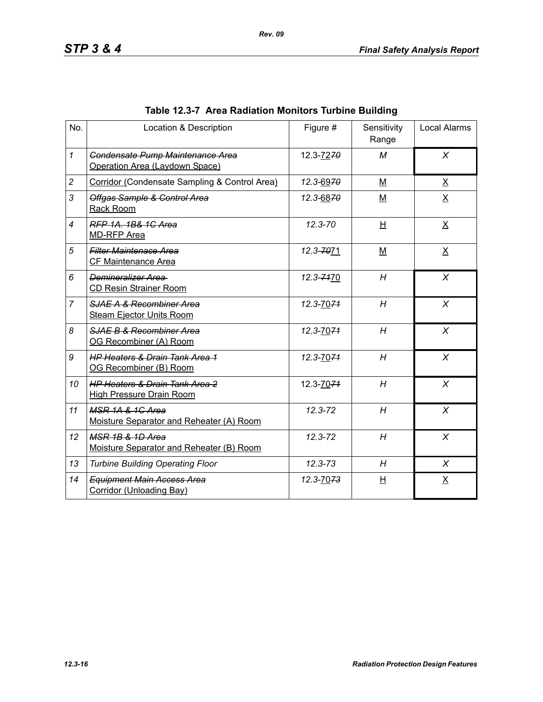| No.            | Location & Description                                                       | Figure #    | Sensitivity<br>Range | <b>Local Alarms</b> |
|----------------|------------------------------------------------------------------------------|-------------|----------------------|---------------------|
| $\mathcal I$   | Condensate Pump Maintenance Area<br>Operation Area (Laydown Space)           | 12.3-7270   | M                    | $\chi$              |
| $\overline{c}$ | Corridor (Condensate Sampling & Control Area)                                | 12.3-6970   | M                    | $\underline{X}$     |
| 3              | Offgas Sample & Control Area<br>Rack Room                                    | 12.3-6870   | M                    | $\underline{X}$     |
| $\overline{4}$ | RFP 1A, 1B& 1C Area<br><b>MD-RFP Area</b>                                    | $12.3 - 70$ | H                    | $\underline{X}$     |
| 5              | <b>Filter Maintenace Area</b><br>CF Maintenance Area                         | 12.3-7071   | $M$                  | $\underline{X}$     |
| 6              | Demineralizer Area<br><b>CD Resin Strainer Room</b>                          | 12.3-7470   | H                    | $\chi$              |
| $\overline{7}$ | SJAE A & Recombiner Area<br><b>Steam Ejector Units Room</b>                  | 12.3-7074   | H                    | $\chi$              |
| 8              | SJAE B & Recombiner Area<br>OG Recombiner (A) Room                           | 12.3-7074   | H                    | $\chi$              |
| 9              | <b>HP Heaters &amp; Drain Tank Area 1</b><br>OG Recombiner (B) Room          | 12.3-7074   | H                    | $\chi$              |
| 10             | <b>HP Heaters &amp; Drain Tank Area 2</b><br><b>High Pressure Drain Room</b> | 12.3-7074   | H                    | $\chi$              |
| 11             | MSR 1A & 1G Area<br>Moisture Separator and Reheater (A) Room                 | $12.3 - 72$ | H                    | X                   |
| 12             | MSR 1B & 1D Area<br>Moisture Separator and Reheater (B) Room                 | 12.3-72     | H                    | X                   |
| 13             | <b>Turbine Building Operating Floor</b>                                      | $12.3 - 73$ | H                    | X                   |
| 14             | <b>Equipment Main Access Area</b><br>Corridor (Unloading Bay)                | 12.3-7073   | 旦                    | $\underline{X}$     |

# **Table 12.3-7 Area Radiation Monitors Turbine Building**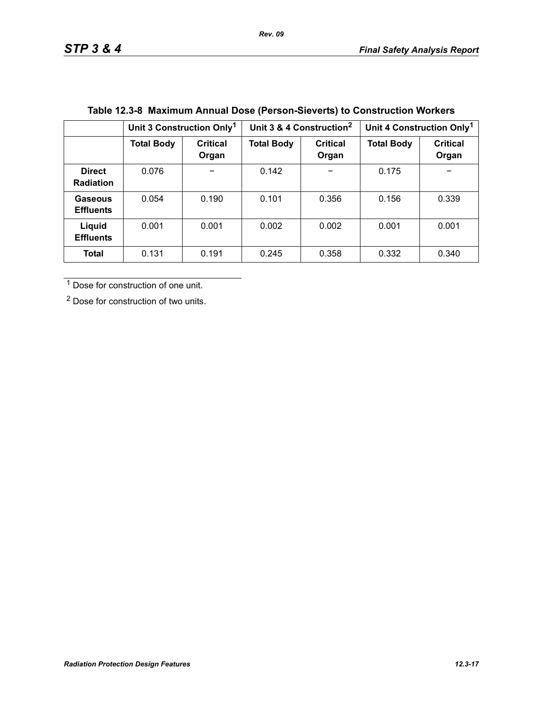|                                   | Unit 3 Construction Only <sup>1</sup> |                   |                   | Unit 3 & 4 Construction <sup>2</sup> | Unit 4 Construction Only <sup>1</sup> |                          |
|-----------------------------------|---------------------------------------|-------------------|-------------------|--------------------------------------|---------------------------------------|--------------------------|
|                                   | <b>Total Body</b>                     | Critical<br>Organ | <b>Total Body</b> | <b>Critical</b><br>Organ             | <b>Total Body</b>                     | <b>Critical</b><br>Organ |
| <b>Direct</b><br><b>Radiation</b> | 0.076                                 |                   | 0.142             |                                      | 0.175                                 | -                        |
| Gaseous<br><b>Effluents</b>       | 0.054                                 | 0.190             | 0.101             | 0.356                                | 0.156                                 | 0.339                    |
| Liquid<br><b>Effluents</b>        | 0.001                                 | 0.001             | 0.002             | 0.002                                | 0.001                                 | 0.001                    |
| Total                             | 0.131                                 | 0.191             | 0.245             | 0.358                                | 0.332                                 | 0.340                    |

# **Table 12.3-8 Maximum Annual Dose (Person-Sieverts) to Construction Workers**

1 Dose for construction of one unit.

2 Dose for construction of two units.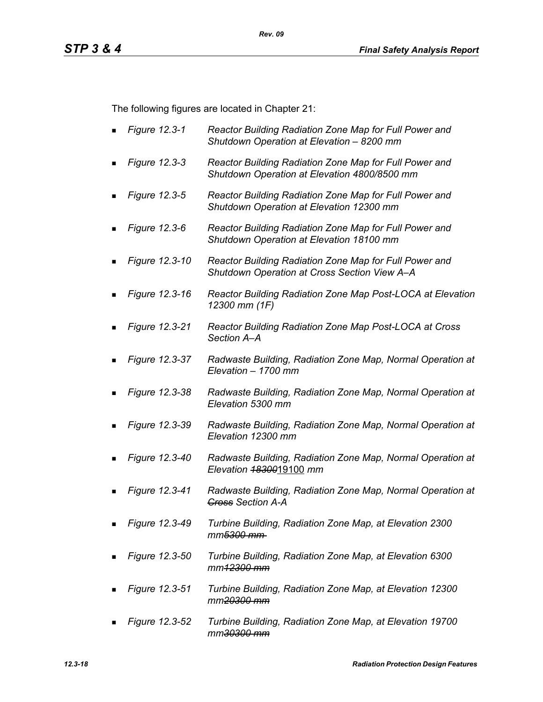The following figures are located in Chapter 21:

- *Figure 12.3-1 Reactor Building Radiation Zone Map for Full Power and Shutdown Operation at Elevation – 8200 mm*
- *Figure 12.3-3 Reactor Building Radiation Zone Map for Full Power and Shutdown Operation at Elevation 4800/8500 mm*
- *Figure 12.3-5 Reactor Building Radiation Zone Map for Full Power and Shutdown Operation at Elevation 12300 mm*
- *Figure 12.3-6 Reactor Building Radiation Zone Map for Full Power and Shutdown Operation at Elevation 18100 mm*
- *Figure 12.3-10 Reactor Building Radiation Zone Map for Full Power and Shutdown Operation at Cross Section View A–A*
- *Figure 12.3-16 Reactor Building Radiation Zone Map Post-LOCA at Elevation 12300 mm (1F)*
- *Figure 12.3-21 Reactor Building Radiation Zone Map Post-LOCA at Cross Section A–A*
- *Figure 12.3-37 Radwaste Building, Radiation Zone Map, Normal Operation at Elevation – 1700 mm*
- *Figure 12.3-38 Radwaste Building, Radiation Zone Map, Normal Operation at Elevation 5300 mm*
- *Figure 12.3-39 Radwaste Building, Radiation Zone Map, Normal Operation at Elevation 12300 mm*
- *Figure 12.3-40 Radwaste Building, Radiation Zone Map, Normal Operation at Elevation 18300*19100 *mm*
- *Figure 12.3-41 Radwaste Building, Radiation Zone Map, Normal Operation at Cross Section A-A*
- *Figure 12.3-49 Turbine Building, Radiation Zone Map, at Elevation 2300 mm5300 mm*
- *Figure 12.3-50 Turbine Building, Radiation Zone Map, at Elevation 6300 mm12300 mm*
- *Figure 12.3-51 Turbine Building, Radiation Zone Map, at Elevation 12300 mm20300 mm*
- *Figure 12.3-52 Turbine Building, Radiation Zone Map, at Elevation 19700 mm30300 mm*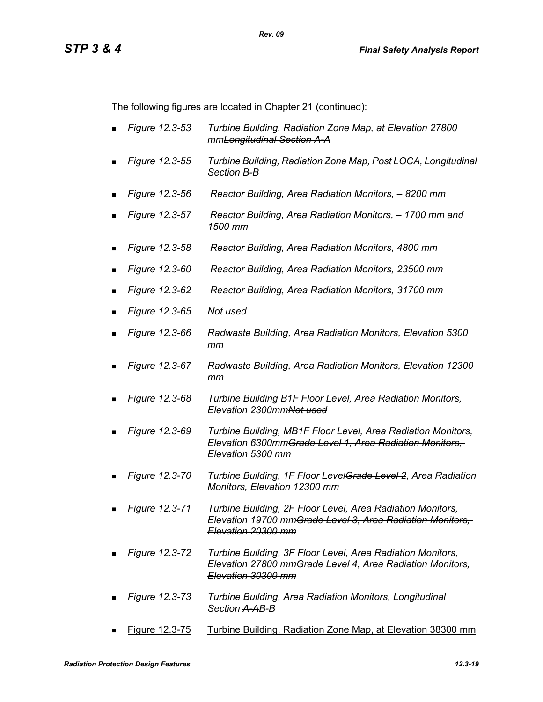The following figures are located in Chapter 21 (continued):

- *Figure 12.3-53 Turbine Building, Radiation Zone Map, at Elevation 27800 mmLongitudinal Section A-A*
- *Figure 12.3-55 Turbine Building, Radiation Zone Map, Post LOCA, Longitudinal Section B-B*
- *Figure 12.3-56 Reactor Building, Area Radiation Monitors, 8200 mm*
- *Figure 12.3-57 Reactor Building, Area Radiation Monitors, 1700 mm and 1500 mm*
- *Figure 12.3-58 Reactor Building, Area Radiation Monitors, 4800 mm*
- *Figure 12.3-60 Reactor Building, Area Radiation Monitors, 23500 mm*
- *Figure 12.3-62 Reactor Building, Area Radiation Monitors, 31700 mm*
- *Figure 12.3-65 Not used*
- *Figure 12.3-66 Radwaste Building, Area Radiation Monitors, Elevation 5300 mm*
- *Figure 12.3-67 Radwaste Building, Area Radiation Monitors, Elevation 12300 mm*
- *Figure 12.3-68 Turbine Building B1F Floor Level, Area Radiation Monitors, Elevation 2300mmNot used*
- *Figure 12.3-69 Turbine Building, MB1F Floor Level, Area Radiation Monitors, Elevation 6300mmGrade Level 1, Area Radiation Monitors, Elevation 5300 mm*
- *Figure 12.3-70 Turbine Building, 1F Floor LevelGrade Level 2, Area Radiation Monitors, Elevation 12300 mm*
- *Figure 12.3-71 Turbine Building, 2F Floor Level, Area Radiation Monitors, Elevation 19700 mmGrade Level 3, Area Radiation Monitors, Elevation 20300 mm*
- *Figure 12.3-72 Turbine Building, 3F Floor Level, Area Radiation Monitors, Elevation 27800 mmGrade Level 4, Area Radiation Monitors, Elevation 30300 mm*
- *Figure 12.3-73 Turbine Building, Area Radiation Monitors, Longitudinal Section A-AB-B*
- Figure 12.3-75 Turbine Building, Radiation Zone Map, at Elevation 38300 mm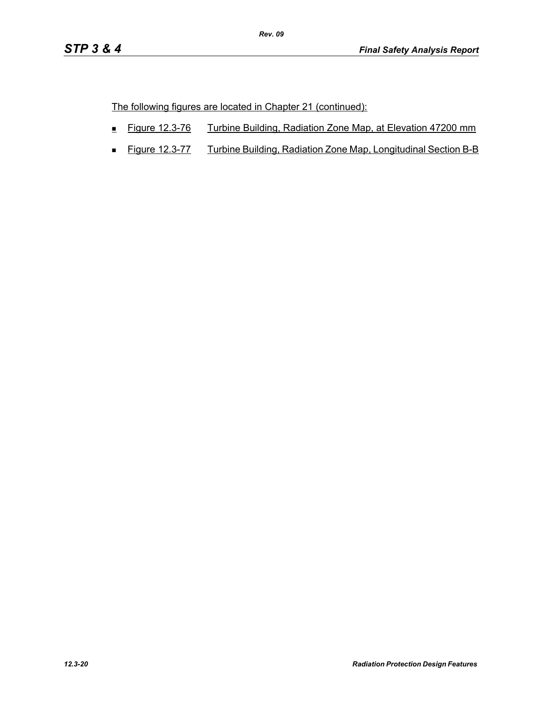The following figures are located in Chapter 21 (continued):

- Figure 12.3-76 Turbine Building, Radiation Zone Map, at Elevation 47200 mm
- **Figure 12.3-77** Turbine Building, Radiation Zone Map, Longitudinal Section B-B